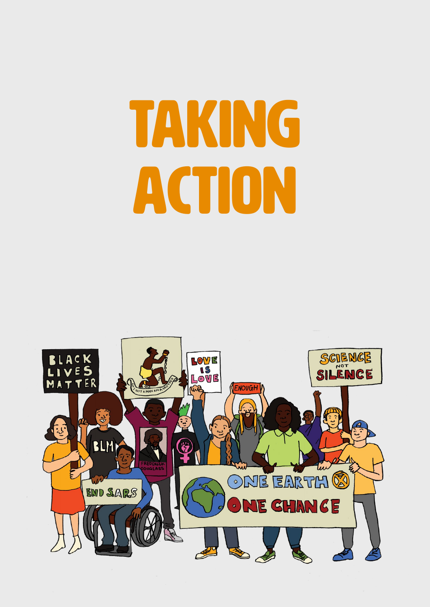# TAKING ACTION

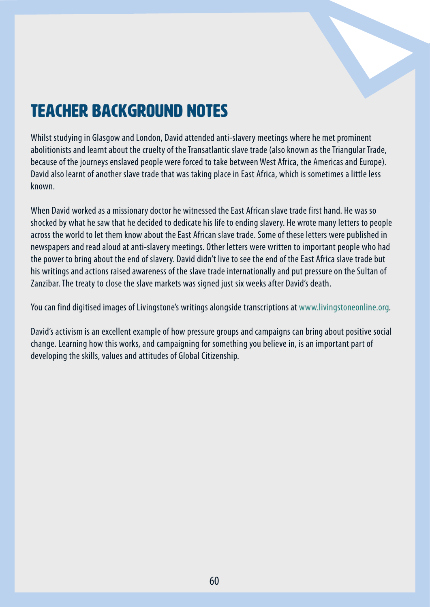

## Teacher Background Notes

Whilst studying in Glasgow and London, David attended anti-slavery meetings where he met prominent abolitionists and learnt about the cruelty of the Transatlantic slave trade (also known as the Triangular Trade, because of the journeys enslaved people were forced to take between West Africa, the Americas and Europe). David also learnt of another slave trade that was taking place in East Africa, which is sometimes a little less known.

When David worked as a missionary doctor he witnessed the East African slave trade first hand. He was so shocked by what he saw that he decided to dedicate his life to ending slavery. He wrote many letters to people across the world to let them know about the East African slave trade. Some of these letters were published in newspapers and read aloud at anti-slavery meetings. Other letters were written to important people who had the power to bring about the end of slavery. David didn't live to see the end of the East Africa slave trade but his writings and actions raised awareness of the slave trade internationally and put pressure on the Sultan of Zanzibar. The treaty to close the slave markets was signed just six weeks after David's death.

You can find digitised images of Livingstone's writings alongside transcriptions at [www.livingstoneonline.org.](https://www.livingstoneonline.org/)

David's activism is an excellent example of how pressure groups and campaigns can bring about positive social change. Learning how this works, and campaigning for something you believe in, is an important part of developing the skills, values and attitudes of Global Citizenship.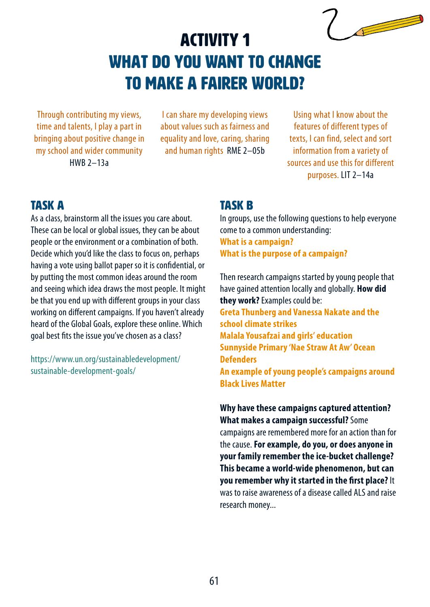## Activity 1 What do YOU want to change to make a fairer world?

Through contributing my views, time and talents, I play a part in bringing about positive change in my school and wider community HWB 2–13a

I can share my developing views about values such as fairness and equality and love, caring, sharing and human rights RME 2–05b

Using what I know about the features of different types of texts, I can find, select and sort information from a variety of sources and use this for different purposes. LIT 2–14a

**Contract on the Contract of the Contract of the Contract of The Contract of The Contract of The Contract of The Contract of The Contract of The Contract of The Contract of The Contract of The Contract of The Contract of T** 

### TASK A

As a class, brainstorm all the issues you care about. These can be local or global issues, they can be about people or the environment or a combination of both. Decide which you'd like the class to focus on, perhaps having a vote using ballot paper so it is confidential, or by putting the most common ideas around the room and seeing which idea draws the most people. It might be that you end up with different groups in your class working on different campaigns. If you haven't already heard of the Global Goals, explore these online. Which goal best fits the issue you've chosen as a class?

[https://www.un.org/sustainabledevelopment/](https://www.un.org/sustainabledevelopment/sustainable-development-goals/) [sustainable-development-goals/](https://www.un.org/sustainabledevelopment/sustainable-development-goals/) 

#### taSK B

In groups, use the following questions to help everyone come to a common understanding: **What is a campaign? What is the purpose of a campaign?**

Then research campaigns started by young people that have gained attention locally and globally. **How did they work?** Examples could be: **Greta Thunberg and Vanessa Nakate and the school climate strikes Malala Yousafzai and girls' education Sunnyside Primary 'Nae Straw At Aw' Ocean Defenders An example of young people's campaigns around Black Lives Matter**

**Why have these campaigns captured attention? What makes a campaign successful?** Some campaigns are remembered more for an action than for the cause. **For example, do you, or does anyone in your family remember the ice-bucket challenge? This became a world-wide phenomenon, but can you remember why it started in the first place?** It was to raise awareness of a disease called ALS and raise research money...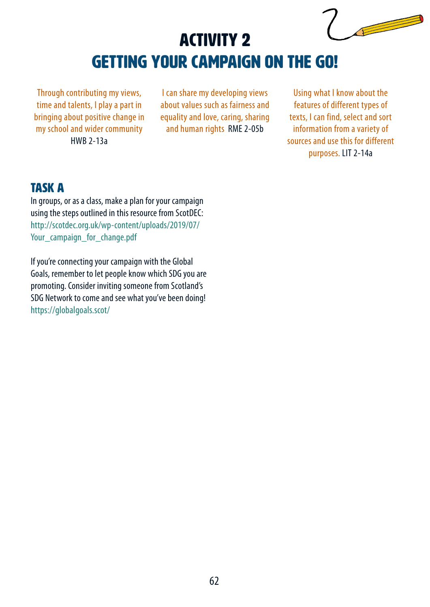# Activity 2 getting your campaign on the go!

Through contributing my views, time and talents, I play a part in bringing about positive change in my school and wider community HWB 2-13a

I can share my developing views about values such as fairness and equality and love, caring, sharing and human rights RME 2-05b

Using what I know about the features of different types of texts, I can find, select and sort information from a variety of sources and use this for different purposes. LIT 2-14a

## TASK a

In groups, or as a class, make a plan for your campaign using the steps outlined in this resource from ScotDEC: [http://scotdec.org.uk/wp-content/uploads/2019/07/](http://scotdec.org.uk/wp-content/uploads/2019/07/Your_campaign_for_change.pdf) Your campaign for change.pdf

If you're connecting your campaign with the Global Goals, remember to let people know which SDG you are promoting. Consider inviting someone from Scotland's SDG Network to come and see what you've been doing! <https://globalgoals.scot/>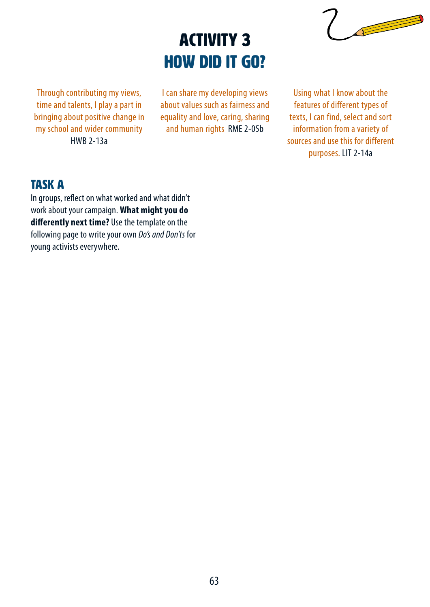# Activity 3 How did it go?



Through contributing my views, time and talents, I play a part in bringing about positive change in my school and wider community HWB 2-13a

I can share my developing views about values such as fairness and equality and love, caring, sharing and human rights RME 2-05b

Using what I know about the features of different types of texts, I can find, select and sort information from a variety of sources and use this for different purposes. LIT 2-14a

## TASK a

In groups, reflect on what worked and what didn't work about your campaign. **What might you do differently next time?** Use the template on the following page to write your own *Do's and Don'ts* for young activists everywhere.